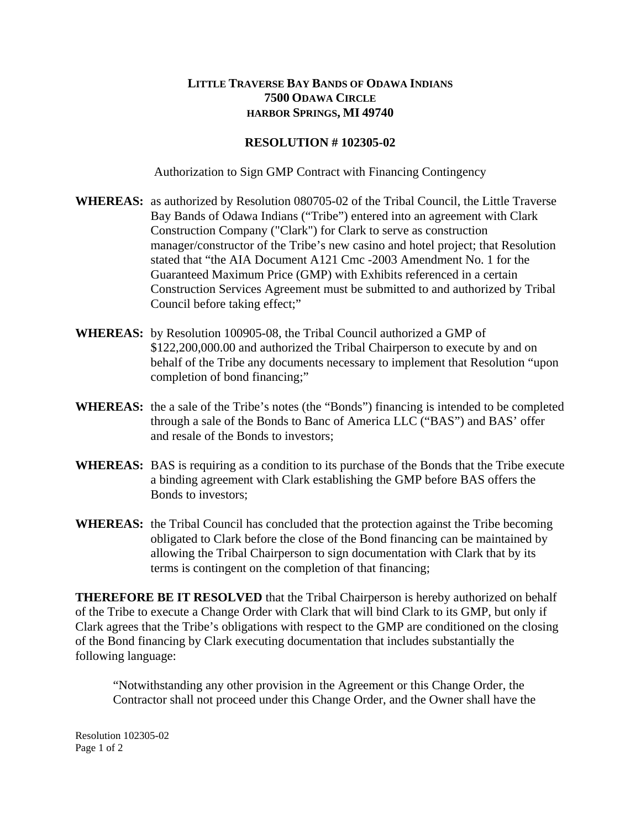## **LITTLE TRAVERSE BAY BANDS OF ODAWA INDIANS 7500 ODAWA CIRCLE HARBOR SPRINGS, MI 49740**

## **RESOLUTION # 102305-02**

Authorization to Sign GMP Contract with Financing Contingency

- **WHEREAS:** as authorized by Resolution 080705-02 of the Tribal Council, the Little Traverse Bay Bands of Odawa Indians ("Tribe") entered into an agreement with Clark Construction Company ("Clark") for Clark to serve as construction manager/constructor of the Tribe's new casino and hotel project; that Resolution stated that "the AIA Document A121 Cmc -2003 Amendment No. 1 for the Guaranteed Maximum Price (GMP) with Exhibits referenced in a certain Construction Services Agreement must be submitted to and authorized by Tribal Council before taking effect;"
- **WHEREAS:** by Resolution 100905-08, the Tribal Council authorized a GMP of \$122,200,000.00 and authorized the Tribal Chairperson to execute by and on behalf of the Tribe any documents necessary to implement that Resolution "upon completion of bond financing;"
- **WHEREAS:** the a sale of the Tribe's notes (the "Bonds") financing is intended to be completed through a sale of the Bonds to Banc of America LLC ("BAS") and BAS' offer and resale of the Bonds to investors;
- WHEREAS: BAS is requiring as a condition to its purchase of the Bonds that the Tribe execute a binding agreement with Clark establishing the GMP before BAS offers the Bonds to investors;
- **WHEREAS:** the Tribal Council has concluded that the protection against the Tribe becoming obligated to Clark before the close of the Bond financing can be maintained by allowing the Tribal Chairperson to sign documentation with Clark that by its terms is contingent on the completion of that financing;

**THEREFORE BE IT RESOLVED** that the Tribal Chairperson is hereby authorized on behalf of the Tribe to execute a Change Order with Clark that will bind Clark to its GMP, but only if Clark agrees that the Tribe's obligations with respect to the GMP are conditioned on the closing of the Bond financing by Clark executing documentation that includes substantially the following language:

"Notwithstanding any other provision in the Agreement or this Change Order, the Contractor shall not proceed under this Change Order, and the Owner shall have the

Resolution 102305-02 Page 1 of 2